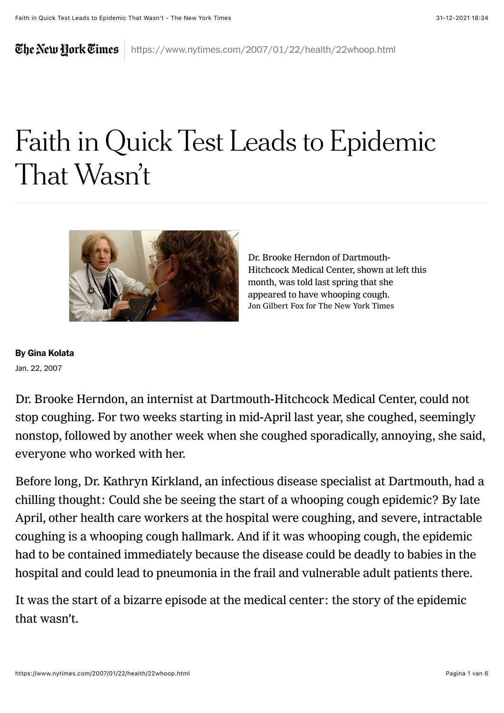The New York Times https://www.nytimes.com/2007/01/22/health/22whoop.html

## Faith in Quick Test Leads to Epidemic That Wasn't



Dr. Brooke Herndon of Dartmouth-Hitchcock Medical Center, shown at left this month, was told last spring that she appeared to have whooping cough. Jon Gilbert Fox for The New York Times

## By [Gina Kolata](https://www.nytimes.com/by/gina-kolata) Jan. 22, 2007

Dr. Brooke Herndon, an internist at Dartmouth-Hitchcock Medical Center, could not stop coughing. For two weeks starting in mid-April last year, she coughed, seemingly nonstop, followed by another week when she coughed sporadically, annoying, she said, everyone who worked with her.

Before long, Dr. Kathryn Kirkland, an infectious disease specialist at Dartmouth, had a chilling thought: Could she be seeing the start of a whooping cough epidemic? By late April, other health care workers at the hospital were coughing, and severe, intractable coughing is a whooping cough hallmark. And if it was whooping cough, the epidemic had to be contained immediately because the disease could be deadly to babies in the hospital and could lead to pneumonia in the frail and vulnerable adult patients there.

It was the start of a bizarre episode at the medical center: the story of the epidemic that wasn't.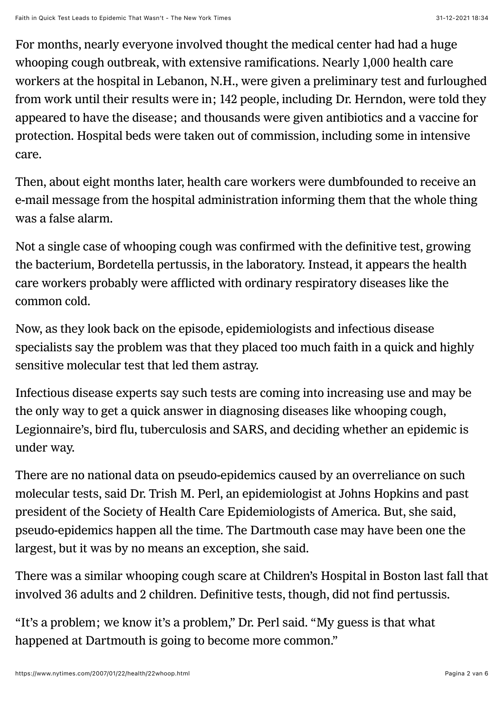For months, nearly everyone involved thought the medical center had had a huge whooping cough outbreak, with extensive ramifications. Nearly 1,000 health care workers at the hospital in Lebanon, N.H., were given a preliminary test and furloughed from work until their results were in; 142 people, including Dr. Herndon, were told they appeared to have the disease; and thousands were given antibiotics and a vaccine for protection. Hospital beds were taken out of commission, including some in intensive care.

Then, about eight months later, health care workers were dumbfounded to receive an e-mail message from the hospital administration informing them that the whole thing was a false alarm.

Not a single case of whooping cough was confirmed with the definitive test, growing the bacterium, Bordetella pertussis, in the laboratory. Instead, it appears the health care workers probably were afflicted with ordinary respiratory diseases like the common cold.

Now, as they look back on the episode, epidemiologists and infectious disease specialists say the problem was that they placed too much faith in a quick and highly sensitive molecular test that led them astray.

Infectious disease experts say such tests are coming into increasing use and may be the only way to get a quick answer in diagnosing diseases like whooping cough, Legionnaire's, bird flu, tuberculosis and SARS, and deciding whether an epidemic is under way.

There are no national data on pseudo-epidemics caused by an overreliance on such molecular tests, said Dr. Trish M. Perl, an epidemiologist at Johns Hopkins and past president of the Society of Health Care Epidemiologists of America. But, she said, pseudo-epidemics happen all the time. The Dartmouth case may have been one the largest, but it was by no means an exception, she said.

There was a similar whooping cough scare at Children's Hospital in Boston last fall that involved 36 adults and 2 children. Definitive tests, though, did not find pertussis.

"It's a problem; we know it's a problem," Dr. Perl said. "My guess is that what happened at Dartmouth is going to become more common."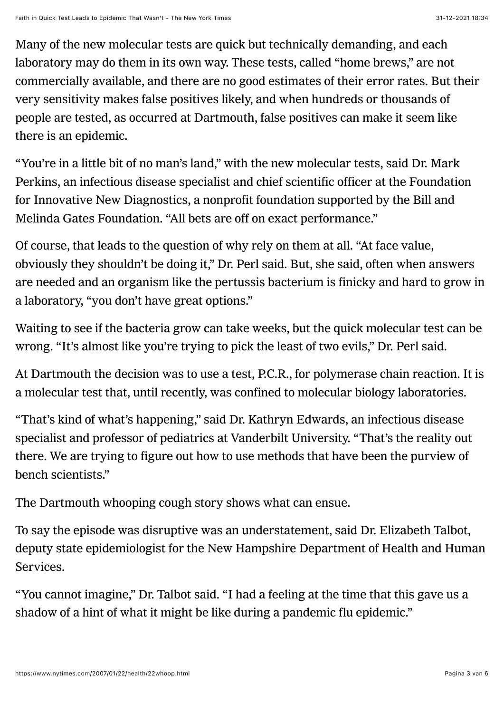Many of the new molecular tests are quick but technically demanding, and each laboratory may do them in its own way. These tests, called "home brews," are not commercially available, and there are no good estimates of their error rates. But their very sensitivity makes false positives likely, and when hundreds or thousands of people are tested, as occurred at Dartmouth, false positives can make it seem like there is an epidemic.

"You're in a little bit of no man's land," with the new molecular tests, said Dr. Mark Perkins, an infectious disease specialist and chief scientific officer at the Foundation for Innovative New Diagnostics, a nonprofit foundation supported by the Bill and Melinda Gates Foundation. "All bets are off on exact performance."

Of course, that leads to the question of why rely on them at all. "At face value, obviously they shouldn't be doing it," Dr. Perl said. But, she said, often when answers are needed and an organism like the pertussis bacterium is finicky and hard to grow in a laboratory, "you don't have great options."

Waiting to see if the bacteria grow can take weeks, but the quick molecular test can be wrong. "It's almost like you're trying to pick the least of two evils," Dr. Perl said.

At Dartmouth the decision was to use a test, P.C.R., for polymerase chain reaction. It is a molecular test that, until recently, was confined to molecular biology laboratories.

"That's kind of what's happening," said Dr. Kathryn Edwards, an infectious disease specialist and professor of pediatrics at Vanderbilt University. "That's the reality out there. We are trying to figure out how to use methods that have been the purview of bench scientists."

The Dartmouth whooping cough story shows what can ensue.

To say the episode was disruptive was an understatement, said Dr. Elizabeth Talbot, deputy state epidemiologist for the New Hampshire Department of Health and Human Services.

"You cannot imagine," Dr. Talbot said. "I had a feeling at the time that this gave us a shadow of a hint of what it might be like during a pandemic flu epidemic."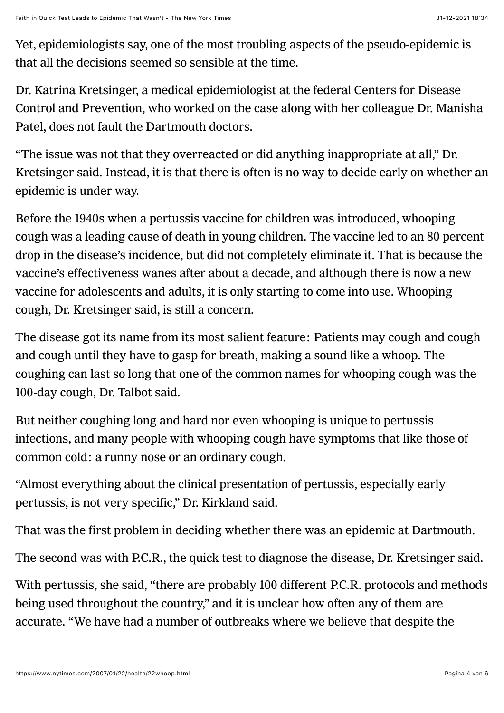Yet, epidemiologists say, one of the most troubling aspects of the pseudo-epidemic is that all the decisions seemed so sensible at the time.

Dr. Katrina Kretsinger, a medical epidemiologist at the federal Centers for Disease Control and Prevention, who worked on the case along with her colleague Dr. Manisha Patel, does not fault the Dartmouth doctors.

"The issue was not that they overreacted or did anything inappropriate at all," Dr. Kretsinger said. Instead, it is that there is often is no way to decide early on whether an epidemic is under way.

Before the 1940s when a pertussis vaccine for children was introduced, whooping cough was a leading cause of death in young children. The vaccine led to an 80 percent drop in the disease's incidence, but did not completely eliminate it. That is because the vaccine's effectiveness wanes after about a decade, and although there is now a new vaccine for adolescents and adults, it is only starting to come into use. Whooping cough, Dr. Kretsinger said, is still a concern.

The disease got its name from its most salient feature: Patients may cough and cough and cough until they have to gasp for breath, making a sound like a whoop. The coughing can last so long that one of the common names for whooping cough was the 100-day cough, Dr. Talbot said.

But neither coughing long and hard nor even whooping is unique to pertussis infections, and many people with whooping cough have symptoms that like those of common cold: a runny nose or an ordinary cough.

"Almost everything about the clinical presentation of pertussis, especially early pertussis, is not very specific," Dr. Kirkland said.

That was the first problem in deciding whether there was an epidemic at Dartmouth.

The second was with P.C.R., the quick test to diagnose the disease, Dr. Kretsinger said.

With pertussis, she said, "there are probably 100 different P.C.R. protocols and methods being used throughout the country," and it is unclear how often any of them are accurate. "We have had a number of outbreaks where we believe that despite the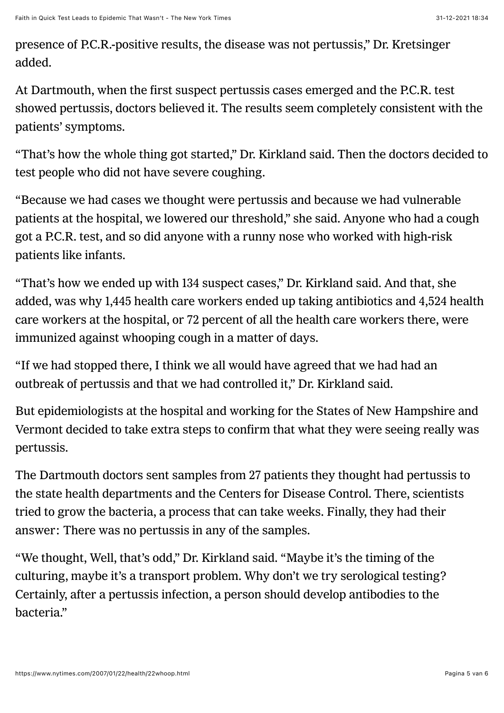presence of P.C.R.-positive results, the disease was not pertussis," Dr. Kretsinger added.

At Dartmouth, when the first suspect pertussis cases emerged and the P.C.R. test showed pertussis, doctors believed it. The results seem completely consistent with the patients' symptoms.

"That's how the whole thing got started," Dr. Kirkland said. Then the doctors decided to test people who did not have severe coughing.

"Because we had cases we thought were pertussis and because we had vulnerable patients at the hospital, we lowered our threshold," she said. Anyone who had a cough got a P.C.R. test, and so did anyone with a runny nose who worked with high-risk patients like infants.

"That's how we ended up with 134 suspect cases," Dr. Kirkland said. And that, she added, was why 1,445 health care workers ended up taking antibiotics and 4,524 health care workers at the hospital, or 72 percent of all the health care workers there, were immunized against whooping cough in a matter of days.

"If we had stopped there, I think we all would have agreed that we had had an outbreak of pertussis and that we had controlled it," Dr. Kirkland said.

But epidemiologists at the hospital and working for the States of New Hampshire and Vermont decided to take extra steps to confirm that what they were seeing really was pertussis.

The Dartmouth doctors sent samples from 27 patients they thought had pertussis to the state health departments and the Centers for Disease Control. There, scientists tried to grow the bacteria, a process that can take weeks. Finally, they had their answer: There was no pertussis in any of the samples.

"We thought, Well, that's odd," Dr. Kirkland said. "Maybe it's the timing of the culturing, maybe it's a transport problem. Why don't we try serological testing? Certainly, after a pertussis infection, a person should develop antibodies to the bacteria."